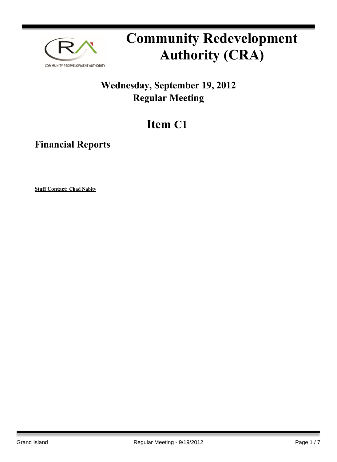

# **Community Redevelopment Authority (CRA)**

### **Wednesday, September 19, 2012 Regular Meeting**

## **Item C1**

**Financial Reports**

**Staff Contact: Chad Nabity**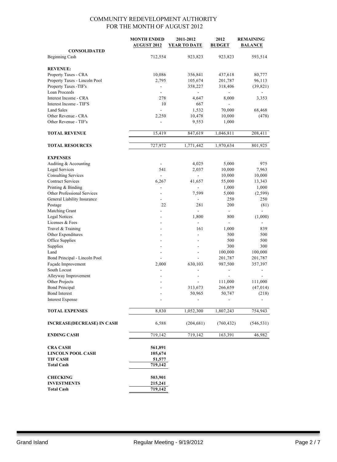|                                       | <b>MONTH ENDED</b><br><b>AUGUST 2012</b> | 2011-2012<br><b>YEAR TO DATE</b> | 2012<br><b>BUDGET</b> | <b>REMAINING</b><br><b>BALANCE</b> |
|---------------------------------------|------------------------------------------|----------------------------------|-----------------------|------------------------------------|
| <b>CONSOLIDATED</b><br>Beginning Cash | 712,554                                  | 923,823                          | 923,823               | 593,514                            |
| <b>REVENUE:</b>                       |                                          |                                  |                       |                                    |
| Property Taxes - CRA                  | 10,086                                   | 356,841                          | 437,618               | 80,777                             |
| Property Taxes - Lincoln Pool         | 2,795                                    | 105,674                          | 201,787               | 96,113                             |
| Property Taxes -TIF's                 | $\overline{\phantom{a}}$                 | 358,227                          | 318,406               | (39, 821)                          |
| <b>Loan Proceeds</b>                  | ٠                                        |                                  |                       |                                    |
| Interest Income - CRA                 | 278                                      | 4,647                            | 8,000                 | 3,353                              |
| Interest Income - TIF'S               | 10                                       | 667                              |                       |                                    |
| <b>Land Sales</b>                     | ÷,                                       | 1,532                            | 70,000                | 68,468                             |
| Other Revenue - CRA                   | 2,250                                    | 10,478                           | 10,000                | (478)                              |
| Other Revenue - TIF's                 |                                          | 9,553                            | 1,000                 |                                    |
|                                       |                                          |                                  |                       |                                    |
| <b>TOTAL REVENUE</b>                  | 15,419                                   | 847,619                          | 1,046,811             | 208,411                            |
| <b>TOTAL RESOURCES</b>                | 727,972                                  | 1,771,442                        | 1,970,634             | 801,925                            |
|                                       |                                          |                                  |                       |                                    |
| <b>EXPENSES</b>                       |                                          |                                  |                       |                                    |
| Auditing & Accounting                 | ÷,                                       | 4,025                            | 5,000                 | 975                                |
| <b>Legal Services</b>                 | 541                                      | 2,037                            | 10,000                | 7,963                              |
| <b>Consulting Services</b>            | ä,                                       | $\overline{a}$                   | 10,000                | 10,000                             |
| <b>Contract Services</b>              | 6,267                                    | 41,657                           | 55,000                | 13,343                             |
| Printing & Binding                    | ÷,                                       | $\overline{\phantom{a}}$         | 1,000                 | 1,000                              |
| Other Professional Services           |                                          | 7,599                            | 5,000                 | (2,599)                            |
| General Liability Insurance           | $\frac{1}{2}$                            |                                  | 250                   | 250                                |
| Postage                               | 22                                       | 281                              | 200                   | (81)                               |
| Matching Grant                        |                                          |                                  | $\blacksquare$        |                                    |
| <b>Legal Notices</b>                  |                                          | 1,800                            | 800                   | (1,000)                            |
| Licenses & Fees                       |                                          | $\overline{\phantom{a}}$         | $\overline{a}$        |                                    |
| Travel & Training                     |                                          | 161                              | 1,000                 | 839                                |
| Other Expenditures                    |                                          | ÷                                | 500                   | 500                                |
| Office Supplies                       |                                          | $\overline{a}$                   | 500                   | 500                                |
| Supplies                              |                                          |                                  | 300                   | 300                                |
| Land                                  |                                          | $\overline{\phantom{0}}$         | 100,000               | 100,000                            |
| Bond Principal - Lincoln Pool         |                                          |                                  | 201,787               | 201,787                            |
| Façade Improvement                    | 2,000                                    | 630,103                          | 987,500               | 357,397                            |
| South Locust                          |                                          |                                  |                       |                                    |
| Alleyway Improvement                  |                                          |                                  | $\overline{a}$        |                                    |
| Other Projects                        |                                          |                                  | 111,000               | 111,000                            |
| <b>Bond Principal</b>                 |                                          | 313,673                          | 266,659               | (47, 014)                          |
| <b>Bond Interest</b>                  |                                          | 50,965                           | 50,747                | (218)                              |
| <b>Interest Expense</b>               |                                          |                                  |                       |                                    |
| <b>TOTAL EXPENSES</b>                 | 8,830                                    | 1,052,300                        | 1,807,243             | 754,943                            |
|                                       |                                          |                                  |                       |                                    |
| <b>INCREASE(DECREASE) IN CASH</b>     | 6,588                                    | (204, 681)                       | (760, 432)            | (546, 531)                         |
| <b>ENDING CASH</b>                    | 719,142                                  | 719,142                          | 163,391               | 46,982                             |
| <b>CRA CASH</b>                       | 561,891                                  |                                  |                       |                                    |
| <b>LINCOLN POOL CASH</b>              | 105,674                                  |                                  |                       |                                    |
| <b>TIF CASH</b>                       | 51,577                                   |                                  |                       |                                    |
| <b>Total Cash</b>                     | 719,142                                  |                                  |                       |                                    |
| <b>CHECKING</b>                       | 503,901                                  |                                  |                       |                                    |
| <b>INVESTMENTS</b>                    | 215,241                                  |                                  |                       |                                    |
| <b>Total Cash</b>                     | 719,142                                  |                                  |                       |                                    |
|                                       |                                          |                                  |                       |                                    |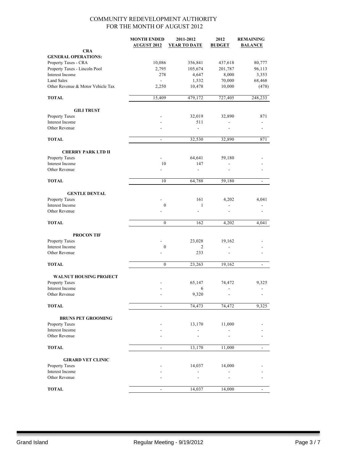|                                   | <b>MONTH ENDED</b><br><b>AUGUST 2012</b> | 2011-2012<br>YEAR TO DATE | 2012<br><b>BUDGET</b> | <b>REMAINING</b><br><b>BALANCE</b> |
|-----------------------------------|------------------------------------------|---------------------------|-----------------------|------------------------------------|
| <b>CRA</b>                        |                                          |                           |                       |                                    |
| <b>GENERAL OPERATIONS:</b>        |                                          |                           |                       |                                    |
| Property Taxes - CRA              | 10,086                                   | 356,841                   | 437,618               | 80,777                             |
| Property Taxes - Lincoln Pool     | 2,795                                    | 105,674                   | 201,787               | 96,113                             |
| Interest Income                   | 278                                      | 4,647                     | 8,000                 | 3,353                              |
| <b>Land Sales</b>                 | $\sim$                                   | 1,532                     | 70,000                | 68,468                             |
| Other Revenue & Motor Vehicle Tax | 2,250                                    | 10,478                    | 10,000                | (478)                              |
| <b>TOTAL</b>                      | 15,409                                   | 479,172                   | 727,405               | 248,233                            |
| <b>GILI TRUST</b>                 |                                          |                           |                       |                                    |
| Property Taxes                    |                                          | 32,019                    | 32,890                | 871                                |
| Interest Income                   |                                          | 511                       |                       |                                    |
| Other Revenue                     |                                          | $\blacksquare$            | ٠                     | ٠                                  |
| <b>TOTAL</b>                      | $\overline{\phantom{a}}$                 | 32,530                    | 32,890                | 871                                |
| <b>CHERRY PARK LTD II</b>         |                                          |                           |                       |                                    |
| Property Taxes                    |                                          | 64,641                    | 59,180                |                                    |
| Interest Income                   | 10                                       | 147                       |                       |                                    |
| Other Revenue                     |                                          | $\overline{\phantom{a}}$  |                       |                                    |
| <b>TOTAL</b>                      | 10                                       | 64,788                    | 59,180                | $\overline{\phantom{a}}$           |
| <b>GENTLE DENTAL</b>              |                                          |                           |                       |                                    |
| Property Taxes                    |                                          | 161                       | 4,202                 | 4,041                              |
| Interest Income                   | $\boldsymbol{0}$                         | 1                         |                       |                                    |
| Other Revenue                     |                                          | $\overline{a}$            |                       |                                    |
| <b>TOTAL</b>                      | $\boldsymbol{0}$                         | 162                       | 4,202                 | 4,041                              |
| <b>PROCON TIF</b>                 |                                          |                           |                       |                                    |
| Property Taxes                    |                                          | 23,028                    | 19,162                |                                    |
| Interest Income                   | $\boldsymbol{0}$                         | 2                         |                       |                                    |
| Other Revenue                     |                                          | 233                       |                       |                                    |
| <b>TOTAL</b>                      | $\mathbf{0}$                             | 23,263                    | 19,162                | $\blacksquare$                     |
| <b>WALNUT HOUSING PROJECT</b>     |                                          |                           |                       |                                    |
| Property Taxes                    |                                          | 65,147                    | 74,472                | 9,325                              |
| Interest Income                   |                                          | 6                         |                       |                                    |
| Other Revenue                     |                                          | 9,320                     |                       |                                    |
| <b>TOTAL</b>                      | $\overline{\phantom{a}}$                 | 74,473                    | 74,472                | 9,325                              |
| <b>BRUNS PET GROOMING</b>         |                                          |                           |                       |                                    |
| Property Taxes                    |                                          | 13,170                    | 11,000                |                                    |
| Interest Income                   |                                          |                           |                       |                                    |
| Other Revenue                     |                                          |                           |                       |                                    |
| <b>TOTAL</b>                      |                                          | 13,170                    | 11,000                |                                    |
| <b>GIRARD VET CLINIC</b>          |                                          |                           |                       |                                    |
| Property Taxes                    |                                          | 14,037                    | 14,000                |                                    |
| Interest Income                   |                                          |                           |                       |                                    |
| Other Revenue                     |                                          |                           |                       |                                    |
| <b>TOTAL</b>                      | $\overline{\phantom{a}}$                 | 14,037                    | 14,000                | $\blacksquare$                     |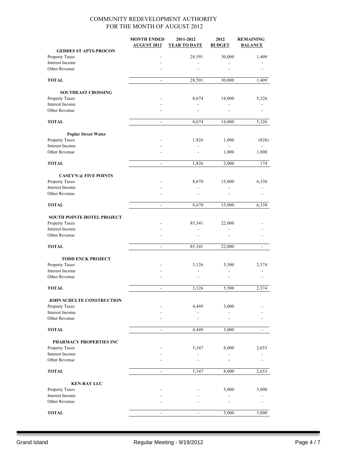|                                   | <b>MONTH ENDED</b><br><b>AUGUST 2012</b> | 2011-2012<br><b>YEAR TO DATE</b> | 2012<br><b>BUDGET</b> | <b>REMAINING</b><br><b>BALANCE</b> |
|-----------------------------------|------------------------------------------|----------------------------------|-----------------------|------------------------------------|
| <b>GEDDES ST APTS-PROCON</b>      |                                          |                                  |                       |                                    |
| Property Taxes                    |                                          | 28,591                           | 30,000                | 1,409                              |
| Interest Income<br>Other Revenue  |                                          |                                  |                       |                                    |
|                                   |                                          |                                  |                       |                                    |
| <b>TOTAL</b>                      | $\blacksquare$                           | 28,591                           | 30,000                | 1,409                              |
| <b>SOUTHEAST CROSSING</b>         |                                          |                                  |                       |                                    |
| Property Taxes                    |                                          | 8,674                            | 14,000                | 5,326                              |
| Interest Income<br>Other Revenue  |                                          |                                  |                       |                                    |
|                                   |                                          |                                  |                       |                                    |
| <b>TOTAL</b>                      | $\overline{\phantom{a}}$                 | 8,674                            | 14,000                | 5,326                              |
| <b>Poplar Street Water</b>        |                                          |                                  |                       |                                    |
| Property Taxes<br>Interest Income |                                          | 1,826                            | 1,000                 | (826)                              |
| Other Revenue                     |                                          |                                  | 1,000                 | 1,000                              |
| <b>TOTAL</b>                      | $\overline{\phantom{a}}$                 | 1,826                            | 2,000                 | 174                                |
| <b>CASEY'S @ FIVE POINTS</b>      |                                          |                                  |                       |                                    |
| Property Taxes                    |                                          | 8,670                            | 15,000                | 6,330                              |
| Interest Income                   |                                          |                                  |                       |                                    |
| Other Revenue                     |                                          |                                  |                       |                                    |
| <b>TOTAL</b>                      | $\overline{\phantom{a}}$                 | 8,670                            | 15,000                | 6,330                              |
| SOUTH POINTE HOTEL PROJECT        |                                          |                                  |                       |                                    |
| Property Taxes                    |                                          | 85,341                           | 22,000                |                                    |
| Interest Income                   |                                          |                                  |                       |                                    |
| Other Revenue                     |                                          |                                  |                       |                                    |
| <b>TOTAL</b>                      | $\equiv$                                 | 85,341                           | 22,000                | $\overline{a}$                     |
| <b>TODD ENCK PROJECT</b>          |                                          |                                  |                       |                                    |
| Property Taxes                    |                                          | 3,126                            | 5,500                 | 2,374                              |
| Interest Income                   |                                          |                                  |                       |                                    |
| Other Revenue                     |                                          |                                  |                       |                                    |
| <b>TOTAL</b>                      | $\blacksquare$                           | 3,126                            | 5,500                 | 2,374                              |
| JOHN SCHULTE CONSTRUCTION         |                                          |                                  |                       |                                    |
| Property Taxes                    |                                          | 4,449                            | 3,000                 |                                    |
| Interest Income                   |                                          |                                  |                       |                                    |
| Other Revenue                     |                                          |                                  |                       |                                    |
| <b>TOTAL</b>                      |                                          | 4,449                            | 3,000                 |                                    |
| PHARMACY PROPERTIES INC           |                                          |                                  |                       |                                    |
| Property Taxes                    |                                          | 5,347                            | 8,000                 | 2,653                              |
| Interest Income                   |                                          |                                  |                       |                                    |
| Other Revenue                     |                                          |                                  |                       |                                    |
| <b>TOTAL</b>                      | $\blacksquare$                           | 5,347                            | 8,000                 | 2,653                              |
| <b>KEN-RAY LLC</b>                |                                          |                                  |                       |                                    |
| Property Taxes                    |                                          |                                  | 5,000                 | 5,000                              |
| Interest Income<br>Other Revenue  |                                          |                                  |                       |                                    |
| <b>TOTAL</b>                      |                                          |                                  | 5,000                 | 5,000                              |
|                                   |                                          |                                  |                       |                                    |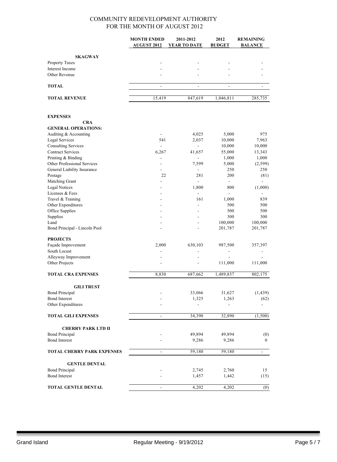|                                   | <b>MONTH ENDED</b>       | 2011-2012                | 2012           | <b>REMAINING</b> |
|-----------------------------------|--------------------------|--------------------------|----------------|------------------|
|                                   | <b>AUGUST 2012</b>       | <b>YEAR TO DATE</b>      | <b>BUDGET</b>  | <b>BALANCE</b>   |
|                                   |                          |                          |                |                  |
| <b>SKAGWAY</b>                    |                          |                          |                |                  |
| Property Taxes                    |                          |                          |                |                  |
| Interest Income                   |                          |                          |                |                  |
| Other Revenue                     |                          |                          |                |                  |
| <b>TOTAL</b>                      | $\overline{\phantom{a}}$ | $\overline{\phantom{0}}$ |                |                  |
| <b>TOTAL REVENUE</b>              | 15,419                   | 847,619                  | 1,046,811      | 285,735          |
|                                   |                          |                          |                |                  |
| <b>EXPENSES</b>                   |                          |                          |                |                  |
| <b>CRA</b>                        |                          |                          |                |                  |
| <b>GENERAL OPERATIONS:</b>        |                          |                          |                |                  |
| Auditing & Accounting             |                          | 4,025                    | 5,000          | 975              |
| Legal Services                    | 541                      | 2,037                    | 10,000         | 7,963            |
| <b>Consulting Services</b>        | $\overline{\phantom{a}}$ | $\blacksquare$           | 10,000         | 10,000           |
| <b>Contract Services</b>          | 6,267                    | 41,657                   | 55,000         | 13,343           |
| Printing & Binding                | $\overline{\phantom{a}}$ | $\blacksquare$           | 1,000          | 1,000            |
| Other Professional Services       |                          | 7,599                    | 5,000          | (2, 599)         |
| General Liability Insurance       | $\overline{a}$           | $\overline{\phantom{a}}$ | 250            | 250              |
| Postage                           | 22                       | 281                      | 200            | (81)             |
| Matching Grant                    |                          | ÷.                       | $\blacksquare$ |                  |
| <b>Legal Notices</b>              |                          | 1,800                    | 800            | (1,000)          |
| Licenses & Fees                   |                          |                          |                |                  |
| Travel & Training                 |                          | 161                      | 1,000          | 839              |
| Other Expenditures                |                          |                          | 500            | 500              |
| Office Supplies                   |                          |                          | 500            | 500              |
| Supplies                          |                          |                          | 300            | 300              |
| Land                              |                          |                          | 100,000        | 100,000          |
| Bond Principal - Lincoln Pool     |                          |                          | 201,787        | 201,787          |
| <b>PROJECTS</b>                   |                          |                          |                |                  |
| Façade Improvement                | 2,000                    | 630,103                  | 987,500        | 357,397          |
| South Locust                      |                          |                          |                |                  |
| Alleyway Improvement              |                          | ÷.                       | $\overline{a}$ |                  |
| Other Projects                    |                          |                          | 111,000        | 111,000          |
|                                   |                          |                          |                |                  |
| <b>TOTAL CRA EXPENSES</b>         | 8,830                    | 687,662                  | 1,489,837      | 802,175          |
| <b>GILI TRUST</b>                 |                          |                          |                |                  |
| <b>Bond Principal</b>             |                          | 33,066                   | 31,627         | (1, 439)         |
| <b>Bond Interest</b>              |                          | 1,325                    | 1,263          | (62)             |
| Other Expenditures                |                          |                          |                |                  |
| <b>TOTAL GILI EXPENSES</b>        | $\blacksquare$           | 34,390                   | 32,890         | (1,500)          |
| <b>CHERRY PARK LTD II</b>         |                          |                          |                |                  |
| <b>Bond Principal</b>             |                          | 49,894                   | 49,894         | (0)              |
| <b>Bond Interest</b>              |                          | 9,286                    | 9,286          | $\mathbf{0}$     |
|                                   |                          |                          |                |                  |
| <b>TOTAL CHERRY PARK EXPENSES</b> | $\blacksquare$           | 59,180                   | 59,180         | $\blacksquare$   |
| <b>GENTLE DENTAL</b>              |                          |                          |                |                  |
| <b>Bond Principal</b>             |                          | 2,745                    | 2,760          | 15               |
| <b>Bond Interest</b>              |                          | 1,457                    | 1,442          | (15)             |
| <b>TOTAL GENTLE DENTAL</b>        |                          | 4,202                    | 4,202          | (0)              |
|                                   |                          |                          |                |                  |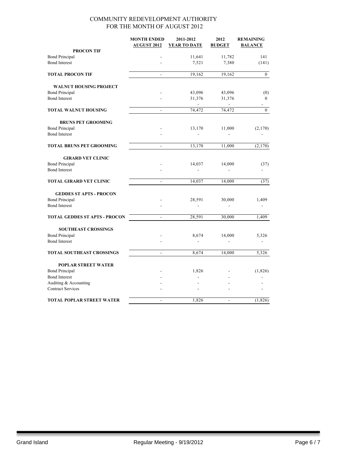|                                                                                                      | <b>MONTH ENDED</b><br><b>AUGUST 2012</b> | 2011-2012<br><b>YEAR TO DATE</b> | 2012<br><b>BUDGET</b>    | <b>REMAINING</b><br><b>BALANCE</b> |
|------------------------------------------------------------------------------------------------------|------------------------------------------|----------------------------------|--------------------------|------------------------------------|
| <b>PROCON TIF</b>                                                                                    |                                          |                                  |                          |                                    |
| <b>Bond Principal</b>                                                                                |                                          | 11,641                           | 11,782                   | 141                                |
| <b>Bond Interest</b>                                                                                 |                                          | 7,521                            | 7,380                    | (141)                              |
| <b>TOTAL PROCON TIF</b>                                                                              | L.                                       | 19,162                           | 19,162                   | $\overline{0}$                     |
| <b>WALNUT HOUSING PROJECT</b>                                                                        |                                          |                                  |                          |                                    |
| <b>Bond Principal</b>                                                                                |                                          | 43,096                           | 43,096                   | (0)                                |
| <b>Bond Interest</b>                                                                                 |                                          | 31,376<br>$\sim$                 | 31,376<br>$\overline{a}$ | $\boldsymbol{0}$                   |
| <b>TOTAL WALNUT HOUSING</b>                                                                          | ÷,                                       | 74,472                           | 74,472                   | $\mathbf{0}$                       |
| <b>BRUNS PET GROOMING</b>                                                                            |                                          |                                  |                          |                                    |
| <b>Bond Principal</b><br><b>Bond Interest</b>                                                        |                                          | 13,170                           | 11,000                   | (2,170)                            |
| <b>TOTAL BRUNS PET GROOMING</b>                                                                      | $\overline{\phantom{a}}$                 | 13,170                           | 11,000                   | (2,170)                            |
| <b>GIRARD VET CLINIC</b>                                                                             |                                          |                                  |                          |                                    |
| <b>Bond Principal</b><br><b>Bond Interest</b>                                                        |                                          | 14,037                           | 14,000                   | (37)                               |
| <b>TOTAL GIRARD VET CLINIC</b>                                                                       | $\overline{a}$                           | 14,037                           | 14,000                   | (37)                               |
| <b>GEDDES ST APTS - PROCON</b><br><b>Bond Principal</b><br><b>Bond Interest</b>                      |                                          | 28,591<br>$\blacksquare$         | 30,000                   | 1,409                              |
| <b>TOTAL GEDDES ST APTS - PROCON</b>                                                                 | $\blacksquare$                           | 28,591                           | 30,000                   | 1,409                              |
| <b>SOUTHEAST CROSSINGS</b><br><b>Bond Principal</b><br><b>Bond Interest</b>                          |                                          | 8,674                            | 14,000                   | 5,326                              |
| <b>TOTAL SOUTHEAST CROSSINGS</b>                                                                     | $\frac{1}{2}$                            | 8,674                            | 14,000                   | 5,326                              |
| <b>POPLAR STREET WATER</b><br><b>Bond Principal</b><br><b>Bond Interest</b><br>Auditing & Accounting |                                          | 1,826                            |                          | (1,826)                            |
| <b>Contract Services</b>                                                                             |                                          |                                  |                          |                                    |
| <b>TOTAL POPLAR STREET WATER</b>                                                                     | ÷,                                       | 1,826                            | $\overline{a}$           | (1, 826)                           |